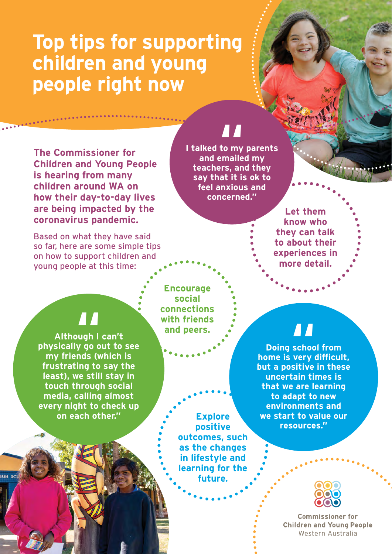## **Top tips for supporting children and young people right now**

**The Commissioner for Children and Young People is hearing from many children around WA on how their day-to-day lives are being impacted by the coronavirus pandemic.** 

Based on what they have said so far, here are some simple tips on how to support children and young people at this time:

# **11**<br>to my<br>!maile

**I talked to my parents and emailed my teachers, and they say that it is ok to feel anxious and concerned."**

> **Let them know who they can talk to about their experiences in more detail.**

**physically go out to see Although I can't ||**<br>ugh |<br>y go o **my friends (which is frustrating to say the least), we still stay in touch through social media, calling almost every night to check up on each other."**

**IGH SC** 

**Encourage social connections with friends and peers.** 

> **Explore positive outcomes, such as the changes in lifestyle and learning for the future.**

**home is very difficult,**<br> **The is very difficult, Doing school from but a positive in these uncertain times is that we are learning to adapt to new environments and we start to value our resources."**



**Commissioner for Children and Young People** Western Australia